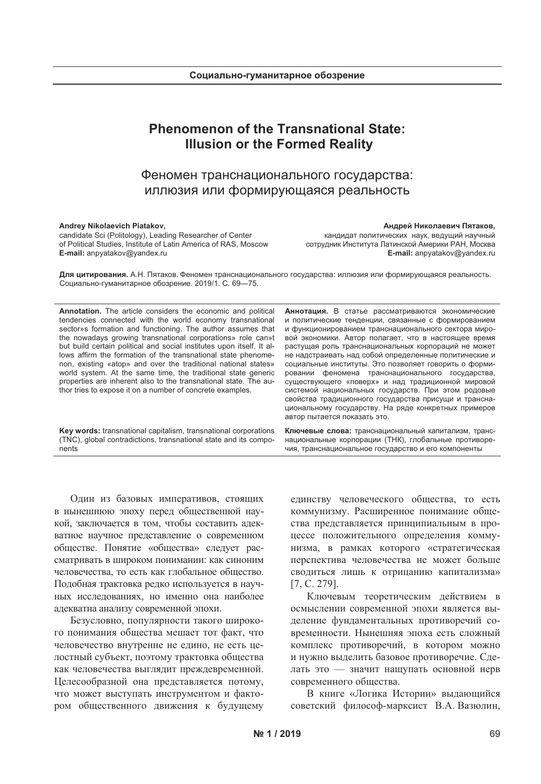# **Phenomenon of the Transnational State: Illusion or the Formed Reality**

# Феномен транснационального государства: иллюзия или формирующаяся реальность

### Andrey Nikolaevich Piatakov,

candidate Sci (Politology), Leading Researcher of Center of Political Studies, Institute of Latin America of RAS, Moscow E-mail: anpyatakov@yandex.ru

#### Андрей Николаевич Пятаков,

кандидат политических наук, ведущий научный сотрудник Института Латинской Америки РАН, Москва E-mail: anpyatakov@yandex.ru

Для цитирования. А.Н. Пятаков. Феномен транснационального государства: иллюзия или формирующаяся реальность. Социально-гуманитарное обозрение. 2019/1. С. 69-75.

Annotation. The article considers the economic and political tendencies connected with the world economy transnational sector»s formation and functioning. The author assumes that the nowadays growing transnational corporations» role can»t but build certain political and social institutes upon itself. It allows affirm the formation of the transnational state phenomenon, existing «atop» and over the traditional national states» world system. At the same time, the traditional state generic properties are inherent also to the transnational state. The author tries to expose it on a number of concrete examples.

Key words: transnational capitalism, transnational corporations (TNC), global contradictions, transnational state and its components

Аннотация. В статье рассматриваются экономические и политические тенденции, связанные с формированием и функционированием транснационального сектора мировой экономики. Автор полагает, что в настоящее время растущая роль транснациональных корпораций не может не надстраивать над собой определенные политические и социальные институты. Это позволяет говорить о формировании феномена транснационального государства, существующего «поверх» и над традиционной мировой системой национальных государств. При этом родовые свойства традиционного государства присущи и транснациональному государству. На ряде конкретных примеров автор пытается показать это.

Ключевые слова: транснациональный капитализм, транснациональные корпорации (ТНК), глобальные противоречия, транснациональное государство и его компоненты

Один из базовых императивов, стоящих в нынешнюю эпоху перед общественной наукой, заключается в том, чтобы составить адекватное научное представление о современном обществе. Понятие «общества» следует рассматривать в широком понимании: как синоним человечества, то есть как глобальное общество. Подобная трактовка редко используется в научных исследованиях, но именно она наиболее адекватна анализу современной эпохи.

Безусловно, популярности такого широкого понимания общества мешает тот факт, что человечество внутренне не едино, не есть целостный субъект, поэтому трактовка общества как человечества выглядит преждевременной. Целесообразной она представляется потому, что может выступать инструментом и фактором общественного движения к будущему единству человеческого общества, то есть коммунизму. Расширенное понимание общества представляется принципиальным в процессе положительного определения коммунизма, в рамках которого «стратегическая перспектива человечества не может больше сводиться лишь к отрицанию капитализма»  $[7, C. 279]$ .

Ключевым теоретическим действием в осмыслении современной эпохи является выделение фундаментальных противоречий современности. Нынешняя эпоха есть сложный комплекс противоречий, в котором можно и нужно выделить базовое противоречие. Сделать это - значит нащупать основной нерв современного общества.

В книге «Логика Истории» выдающийся советский философ-марксист В.А. Вазюлин,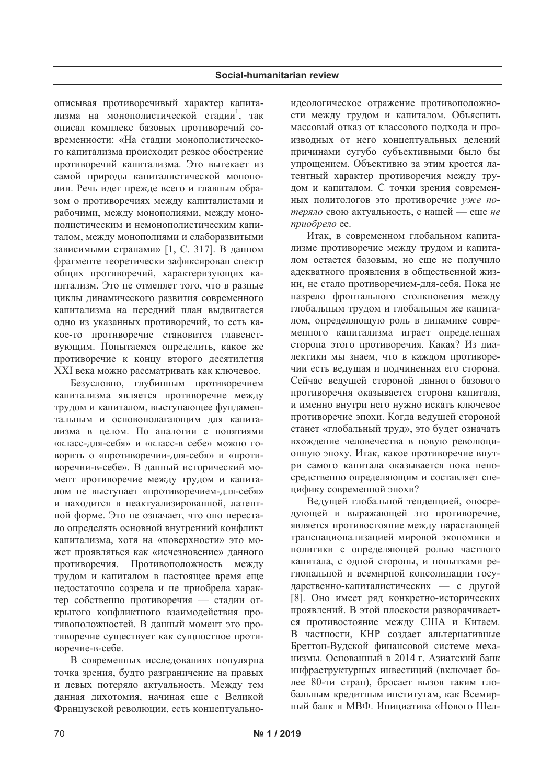описывая противоречивый характер капитализма на монополистической стадии<sup>1</sup>, так описал комплекс базовых противоречий современности: «На стадии монополистического капитализма происходит резкое обострение противоречий капитализма. Это вытекает из самой природы капиталистической монополии. Речь идет прежде всего и главным образом о противоречиях между капиталистами и рабочими, между монополиями, между монополистическим и немонополистическим капиталом, между монополиями и слаборазвитыми зависимыми странами» [1, С. 317]. В данном фрагменте теоретически зафиксирован спектр общих противоречий, характеризующих капитализм. Это не отменяет того, что в разные циклы динамического развития современного капитализма на передний план выдвигается одно из указанных противоречий, то есть какое-то противоречие становится главенствующим. Попытаемся определить, какое же противоречие к концу второго десятилетия XXI века можно рассматривать как ключевое.

Безусловно, глубинным противоречием капитализма является противоречие между трудом и капиталом, выступающее фундаментальным и основополагающим для капитализма в целом. По аналогии с понятиями «класс-для-себя» и «класс-в себе» можно говорить о «противоречии-для-себя» и «противоречии-в-себе». В данный исторический момент противоречие между трудом и капиталом не выступает «противоречием-для-себя» и находится в неактуализированной, латентной форме. Это не означает, что оно перестало определять основной внутренний конфликт капитализма, хотя на «поверхности» это может проявляться как «исчезновение» данного противоречия. Противоположность между трудом и капиталом в настоящее время еще недостаточно созрела и не приобрела характер собственно противоречия — стадии открытого конфликтного взаимодействия противоположностей. В данный момент это противоречие существует как сущностное противоречие-в-себе.

В современных исследованиях популярна точка зрения, будто разграничение на правых и левых потеряло актуальность. Между тем данная дихотомия, начиная еще с Великой Французской революции, есть концептуальноидеологическое отражение противоположности между трудом и капиталом. Объяснить массовый отказ от классового подхода и производных от него концептуальных делений причинами сугубо субъективными было бы упрощением. Объективно за этим кроется латентный характер противоречия между трудом и капиталом. С точки зрения современных политологов это противоречие уже потеряло свою актуальность, с нашей - еще не приобрело ее.

Итак, в современном глобальном капитализме противоречие между трудом и капиталом остается базовым, но еще не получило адекватного проявления в общественной жизни, не стало противоречием-для-себя. Пока не назрело фронтального столкновения между глобальным трудом и глобальным же капиталом, определяющую роль в динамике современного капитализма играет определенная сторона этого противоречия. Какая? Из диалектики мы знаем, что в каждом противоречии есть ведущая и подчиненная его сторона. Сейчас ведущей стороной данного базового противоречия оказывается сторона капитала, и именно внутри него нужно искать ключевое противоречие эпохи. Когда ведущей стороной станет «глобальный труд», это будет означать вхождение человечества в новую революционную эпоху. Итак, какое противоречие внутри самого капитала оказывается пока непосредственно определяющим и составляет специфику современной эпохи?

Ведущей глобальной тенденцией, опосредующей и выражающей это противоречие, является противостояние между нарастающей транснационализацией мировой экономики и политики с определяющей ролью частного капитала, с одной стороны, и попытками региональной и всемирной консолидации государственно-капиталистических - с другой [8]. Оно имеет ряд конкретно-исторических проявлений. В этой плоскости разворачивается противостояние между США и Китаем. В частности, КНР создает альтернативные Бреттон-Вудской финансовой системе механизмы. Основанный в 2014 г. Азиатский банк инфраструктурных инвестиций (включает более 80-ти стран), бросает вызов таким глобальным кредитным институтам, как Всемирный банк и МВФ. Инициатива «Нового Шел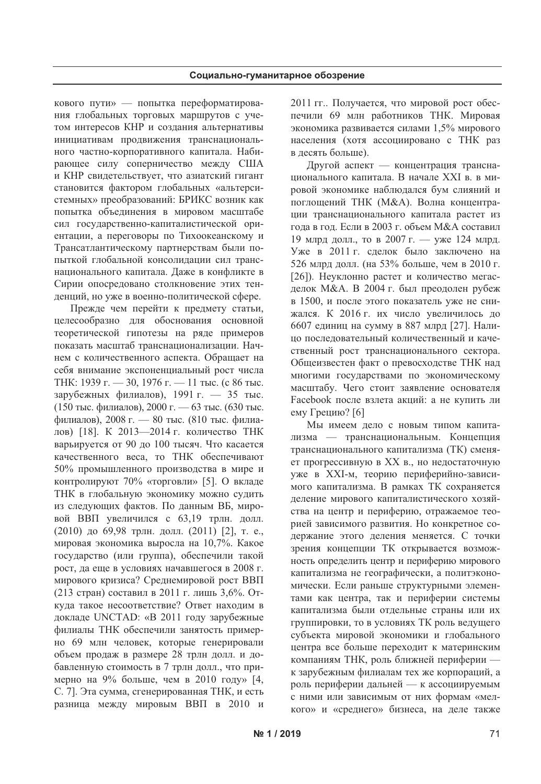кового пути» — попытка переформатирования глобальных торговых маршрутов с учетом интересов КНР и создания альтернативы инициативам продвижения транснационального частно-корпоративного капитала. Набирающее силу соперничество между США и КНР свидетельствует, что азиатский гигант становится фактором глобальных «альтерсистемных» преобразований: БРИКС возник как попытка объединения в мировом масштабе сил государственно-капиталистической ориентации, а переговоры по Тихоокеанскому и Трансатлантическому партнерствам были попыткой глобальной консолидации сил транснационального капитала. Даже в конфликте в Сирии опосредовано столкновение этих тенденций, но уже в военно-политической сфере.

Прежде чем перейти к предмету статьи, целесообразно для обоснования основной теоретической гипотезы на ряде примеров показать масштаб транснационализации. Начнем с количественного аспекта. Обрашает на себя внимание экспоненциальный рост числа ТНК: 1939 г. — 30, 1976 г. — 11 тыс. (с 86 тыс. зарубежных филиалов), 1991 г. — 35 тыс. (150 тыс. филиалов), 2000 г. — 63 тыс. (630 тыс. филиалов), 2008 г. - 80 тыс. (810 тыс. филиалов) [18]. К 2013-2014 г. количество ТНК варьируется от 90 до 100 тысяч. Что касается качественного веса, то ТНК обеспечивают 50% промышленного производства в мире и контролируют 70% «торговли» [5]. О вкладе ТНК в глобальную экономику можно судить из следующих фактов. По данным ВБ, мировой ВВП увеличился с 63,19 трлн. долл. (2010) до 69,98 трлн. долл. (2011) [2], т. е., мировая экономика выросла на 10,7%. Какое государство (или группа), обеспечили такой рост, да еще в условиях начавшегося в 2008 г. мирового кризиса? Среднемировой рост ВВП (213 стран) составил в 2011 г. лишь 3,6%. Откуда такое несоответствие? Ответ находим в докладе UNCTAD: «В 2011 году зарубежные филиалы ТНК обеспечили занятость примерно 69 млн человек, которые генерировали объем продаж в размере 28 трлн долл. и добавленную стоимость в 7 трлн долл., что примерно на 9% больше, чем в 2010 году» [4, С. 7]. Эта сумма, сгенерированная ТНК, и есть разница между мировым ВВП в 2010 и 2011 гг.. Получается, что мировой рост обеспечили 69 млн работников ТНК. Мировая экономика развивается силами 1,5% мирового населения (хотя ассоциировано с ТНК раз в десять больше).

Другой аспект - концентрация транснационального капитала. В начале XXI в. в мировой экономике наблюдался бум слияний и поглощений ТНК (М&А). Волна концентрации транснационального капитала растет из года в год. Если в 2003 г. объем М&А составил 19 млрд долл., то в 2007 г. — уже 124 млрд. Уже в 2011 г. сделок было заключено на 526 млрд долл. (на 53% больше, чем в 2010 г. [26]). Неуклонно растет и количество мегасделок М&А. В 2004 г. был преодолен рубеж в 1500, и после этого показатель уже не снижался. К 2016 г. их число увеличилось до 6607 единиц на сумму в 887 млрд [27]. Налино послеловательный количественный и качественный рост транснационального сектора. Общеизвестен факт о превосходстве ТНК над многими государствами по экономическому масштабу. Чего стоит заявление основателя Facebook после взлета акций: а не купить ли ему Грецию? [6]

Мы имеем дело с новым типом капитализма — транснациональным. Концепция транснационального капитализма (ТК) сменяет прогрессивную в XX в., но недостаточную уже в XXI-м, теорию периферийно-зависимого капитализма. В рамках ТК сохраняется деление мирового капиталистического хозяйства на центр и периферию, отражаемое теорией зависимого развития. Но конкретное содержание этого деления меняется. С точки зрения концепции ТК открывается возможность определить центр и периферию мирового капитализма не географически, а политэкономически. Если раньше структурными элементами как центра, так и периферии системы капитализма были отдельные страны или их группировки, то в условиях ТК роль ведущего субъекта мировой экономики и глобального центра все больше переходит к материнским компаниям ТНК, роль ближней периферии к зарубежным филиалам тех же корпораций, а роль периферии дальней — к ассоциируемым с ними или зависимым от них формам «мелкого» и «среднего» бизнеса, на деле также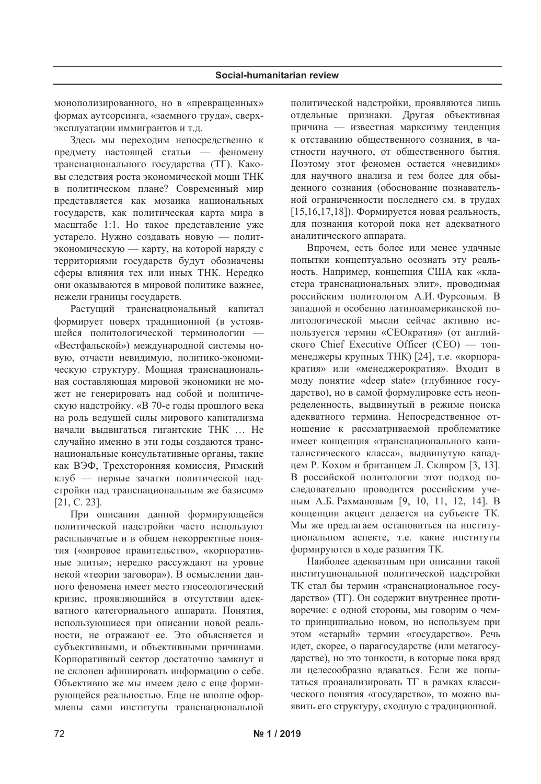монополизированного, но в «превращенных» формах аутсорсинга, «заемного труда», сверхэксплуатации иммигрантов и т.д.

Здесь мы переходим непосредственно к предмету настоящей статьи — феномену транснационального государства (ТГ). Каковы следствия роста экономической мощи ТНК в политическом плане? Современный мир представляется как мозаика национальных государств, как политическая карта мира в масштабе 1:1. Но такое представление уже устарело. Нужно создавать новую — политэкономическую - карту, на которой наряду с территориями государств будут обозначены сферы влияния тех или иных ТНК. Нередко они оказываются в мировой политике важнее, нежели границы государств.

Растущий транснациональный капитал формирует поверх традиционной (в устоявшейся политологической терминологии «Вестфальской») международной системы новую, отчасти невидимую, политико-экономическую структуру. Мощная транснациональная составляющая мировой экономики не может не генерировать над собой и политическую надстройку. «В 70-е годы прошлого века на роль ведущей силы мирового капитализма начали выдвигаться гигантские ТНК ... Не случайно именно в эти годы создаются транснациональные консультативные органы, такие как ВЭФ, Трехсторонняя комиссия, Римский клуб — первые зачатки политической надстройки над транснациональным же базисом»  $[21, C. 23].$ 

При описании данной формирующейся политической надстройки часто используют расплывчатые и в общем некорректные понятия («мировое правительство», «корпоративные элиты»; нередко рассуждают на уровне некой «теории заговора»). В осмыслении данного феномена имеет место гносеологический кризис, проявляющийся в отсутствии адекватного категориального аппарата. Понятия, использующиеся при описании новой реальности, не отражают ее. Это объясняется и субъективными, и объективными причинами. Корпоративный сектор достаточно замкнут и не склонен афишировать информацию о себе. Объективно же мы имеем дело с еще формирующейся реальностью. Еще не вполне оформлены сами институты транснациональной политической надстройки, проявляются лишь отдельные признаки. Другая объективная причина - известная марксизму тенденция к отставанию общественного сознания, в частности научного, от общественного бытия. Поэтому этот феномен остается «невидим» для научного анализа и тем более для обыденного сознания (обоснование познавательной ограниченности последнего см. в трудах  $[15, 16, 17, 18]$ ). Формируется новая реальность, для познания которой пока нет адекватного аналитического аппарата.

Впрочем, есть более или менее удачные попытки концептуально осознать эту реальность. Например, концепция США как «кластера транснациональных элит», проводимая российским политологом А.И. Фурсовым. В западной и особенно латиноамериканской политологической мысли сейчас активно используется термин «СЕОкратия» (от английского Chief Executive Officer (CEO) — топменеджеры крупных ТНК) [24], т.е. «корпоракратия» или «менеджерократия». Входит в моду понятие «deep state» (глубинное государство), но в самой формулировке есть неопределенность, выдвинутый в режиме поиска адекватного термина. Непосредственное отношение к рассматриваемой проблематике имеет концепция «транснационального капиталистического класса», выдвинутую канадцем Р. Кохом и британцем Л. Скляром [3, 13]. В российской политологии этот подход последовательно проводится российским ученым А.Б. Рахмановым [9, 10, 11, 12, 14]. В концепции акцент делается на субъекте ТК. Мы же предлагаем остановиться на институциональном аспекте, т.е. какие институты формируются в ходе развития ТК.

Наиболее адекватным при описании такой институциональной политической надстройки ТК стал бы термин «транснациональное государство» (ТГ). Он содержит внутреннее противоречие: с одной стороны, мы говорим о чемто принципиально новом, но используем при этом «старый» термин «государство». Речь идет, скорее, о парагосударстве (или метагосударстве), но это тонкости, в которые пока вряд ли целесообразно вдаваться. Если же попытаться проанализировать ТГ в рамках классического понятия «государство», то можно выявить его структуру, сходную с традиционной.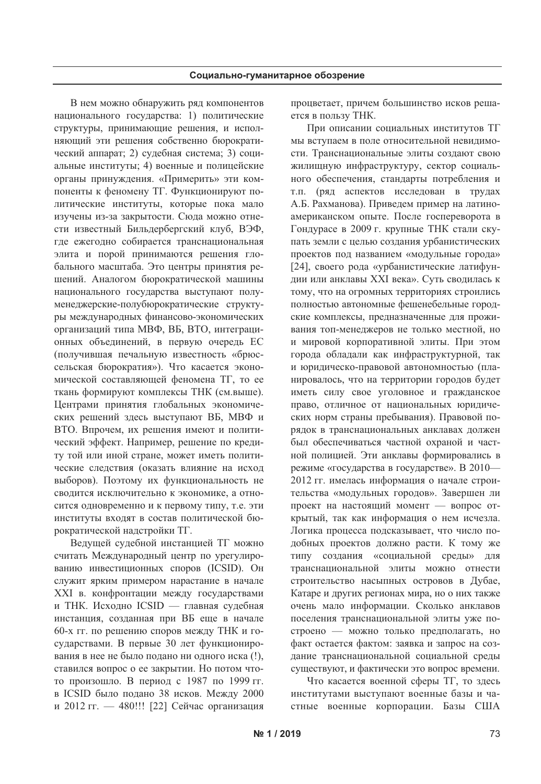В нем можно обнаружить ряд компонентов национального государства: 1) политические структуры, принимающие решения, и исполняющий эти решения собственно бюрократический аппарат; 2) судебная система; 3) социальные институты; 4) военные и полицейские органы принуждения. «Примерить» эти компоненты к феномену ТГ. Функционируют политические институты, которые пока мало изучены из-за закрытости. Сюда можно отнести известный Бильдербергский клуб, ВЭФ, где ежегодно собирается транснациональная элита и порой принимаются решения глобального масштаба. Это центры принятия решений. Аналогом бюрократической машины национального государства выступают полуменеджерские-полубюрократические структуры международных финансово-экономических организаций типа МВФ, ВБ, ВТО, интеграционных объединений, в первую очередь ЕС (получившая печальную известность «брюссельская бюрократия»). Что касается экономической составляющей феномена ТГ, то ее ткань формируют комплексы ТНК (см.выше). Центрами принятия глобальных экономических решений здесь выступают ВБ, МВФ и ВТО. Впрочем, их решения имеют и политический эффект. Например, решение по кредиту той или иной стране, может иметь политические следствия (оказать влияние на исход выборов). Поэтому их функциональность не сводится исключительно к экономике, а относится одновременно и к первому типу, т.е. эти институты входят в состав политической бюрократической надстройки ТГ.

Ведущей судебной инстанцией ТГ можно считать Международный центр по урегулированию инвестиционных споров (ICSID). Он служит ярким примером нарастание в начале XXI в. конфронтации между государствами и ТНК. Исходно ICSID — главная судебная инстанция, созданная при ВБ еще в начале 60-х гг. по решению споров между ТНК и государствами. В первые 30 лет функционирования в нее не было подано ни одного иска (!), ставился вопрос о ее закрытии. Но потом чтото произошло. В период с 1987 по 1999 гг. в ICSID было подано 38 исков. Между 2000 и 2012 гг. - 480!!! [22] Сейчас организация процветает, причем большинство исков решается в пользу ТНК.

При описании социальных институтов ТГ мы вступаем в поле относительной невидимости. Транснациональные элиты создают свою жилищную инфраструктуру, сектор социального обеспечения, стандарты потребления и т.п. (ряд аспектов исследован в трудах А.Б. Рахманова). Приведем пример на латиноамериканском опыте. После госпереворота в Гондурасе в 2009 г. крупные ТНК стали скупать земли с целью создания урбанистических проектов под названием «модульные города» [24], своего рода «урбанистические латифундии или анклавы XXI века». Суть сводилась к тому, что на огромных территориях строились полностью автономные фешенебельные городские комплексы, предназначенные для проживания топ-менеджеров не только местной, но и мировой корпоративной элиты. При этом города обладали как инфраструктурной, так и юридическо-правовой автономностью (планировалось, что на территории городов будет иметь силу свое уголовное и гражданское право, отличное от национальных юридических норм страны пребывания). Правовой порядок в транснациональных анклавах должен был обеспечиваться частной охраной и частной полицией. Эти анклавы формировались в режиме «государства в государстве». В 2010-2012 гг. имелась информация о начале строительства «модульных городов». Завершен ли проект на настоящий момент - вопрос открытый, так как информация о нем исчезла. Логика процесса подсказывает, что число подобных проектов должно расти. К тому же типу создания «социальной среды» для транснациональной элиты можно отнести строительство насыпных островов в Дубае, Катаре и других регионах мира, но о них также очень мало информации. Сколько анклавов поселения транснациональной элиты уже построено - можно только предполагать, но факт остается фактом: заявка и запрос на создание транснациональной социальной среды существуют, и фактически это вопрос времени.

Что касается военной сферы ТГ, то здесь институтами выступают военные базы и частные военные корпорации. Базы США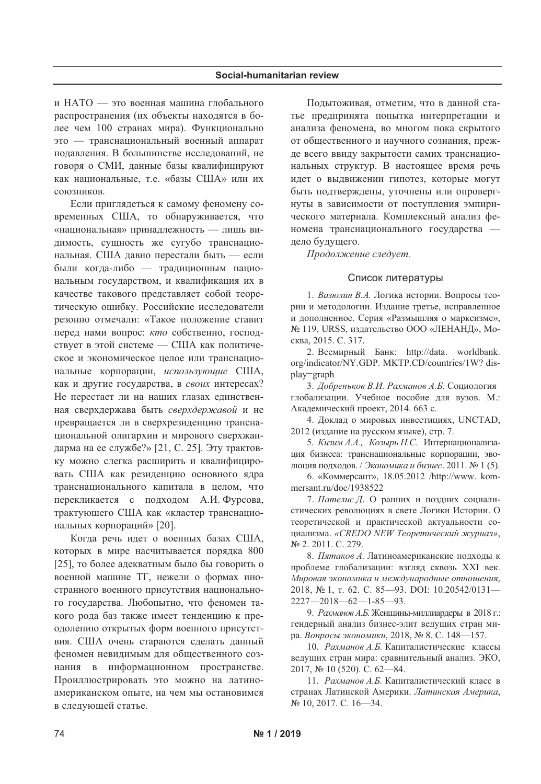и НАТО - это военная машина глобального распространения (их объекты находятся в более чем 100 странах мира). Функционально это — транснациональный военный аппарат подавления. В большинстве исследований, не говоря о СМИ, данные базы квалифицируют как национальные, т.е. «базы США» или их союзников.

Если приглядеться к самому феномену современных США, то обнаруживается, что «национальная» принадлежность - лишь видимость, сущность же сугубо транснациональная. США давно перестали быть — если были когда-либо — традиционным национальным государством, и квалификация их в качестве такового представляет собой теоретическую ошибку. Российские исследователи резонно отмечали: «Такое положение ставит перед нами вопрос: кто собственно, господствует в этой системе - США как политическое и экономическое целое или транснациональные корпорации, использующие США, как и другие государства, в своих интересах? Не перестает ли на наших глазах единственная сверхдержава быть сверхдержавой и не превращается ли в сверхрезиденцию транснациональной олигархии и мирового сверхжандарма на ее службе?» [21, С. 25]. Эту трактовку можно слегка расширить и квалифицировать США как резиденцию основного ядра транснационального капитала в целом, что перекликается с подходом А.И. Фурсова, трактующего США как «кластер транснациональных корпораций» [20].

Когда речь идет о военных базах США, которых в мире насчитывается порядка 800 [25], то более адекватным было бы говорить о военной машине ТГ, нежели о формах иностранного военного присутствия национального государства. Любопытно, что феномен такого рода баз также имеет тенденцию к преодолению открытых форм военного присутствия. США очень стараются сделать данный феномен невидимым для общественного сознания в информационном пространстве. Проиллюстрировать это можно на латиноамериканском опыте, на чем мы остановимся в следующей статье.

Подытоживая, отметим, что в данной статье предпринята попытка интерпретации и анализа феномена, во многом пока скрытого от общественного и научного сознания, прежде всего ввиду закрытости самих транснациональных структур. В настоящее время речь идет о выдвижении гипотез, которые могут быть подтверждены, уточнены или опровергнуты в зависимости от поступления эмпирического материала. Комплексный анализ феномена транснационального государства дело будущего.

Продолжение следует.

## Список литературы

1. Вазюлин В.А. Логика истории. Вопросы теории и методологии. Издание третье, исправленное и дополненное. Серия «Размышляя о марксизме», № 119, URSS, издательство ООО «ЛЕНАНД», Москва, 2015. С. 317.

2. Всемирный Банк: http://data. worldbank. org/indicator/NY.GDP. MKTP.CD/countries/1W? display=graph

3. Добреньков В.И. Рахманов А.Б. Социология глобализации. Учебное пособие для вузов. М.: Академический проект, 2014. 663 с.

4. Доклад о мировых инвестициях, UNCTAD, 2012 (издание на русском языке), стр. 7.

5. Кизим А.А., Козырь Н.С. Интернационализация бизнеса: транснациональные корпорации, эволюция подходов. / Экономика и бизнес. 2011. № 1 (5).

6. «Коммерсант», 18.05.2012 /http://www. kommersant.ru/doc/1938522

7. Пателис Д. О ранних и поздних социалистических революциях в свете Логики Истории. О теоретической и практической актуальности социализма. «CREDO NEW Теоретический журнал», № 2. 2011. C. 279.

8. Пятаков А. Латиноамериканские подходы к проблеме глобализации: взгляд сквозь XXI век. Мировая экономика и международные отношения, 2018, № 1, т. 62. С. 85-93. DOI: 10.20542/0131- $2227 - 2018 - 62 - 1 - 85 - 93$ .

9. Рахманов А.Б. Женщины-миллиардеры в 2018 г.: гендерный анализ бизнес-элит ведущих стран мира. Вопросы экономики, 2018, № 8. С. 148—157.

10. Рахманов А.Б. Капиталистические классы ведущих стран мира: сравнительный анализ. ЭКО, 2017, № 10 (520). C. 62-84.

11. Рахманов А.Б. Капиталистический класс в странах Латинской Америки. Латинская Америка, № 10, 2017. С. 16-34.